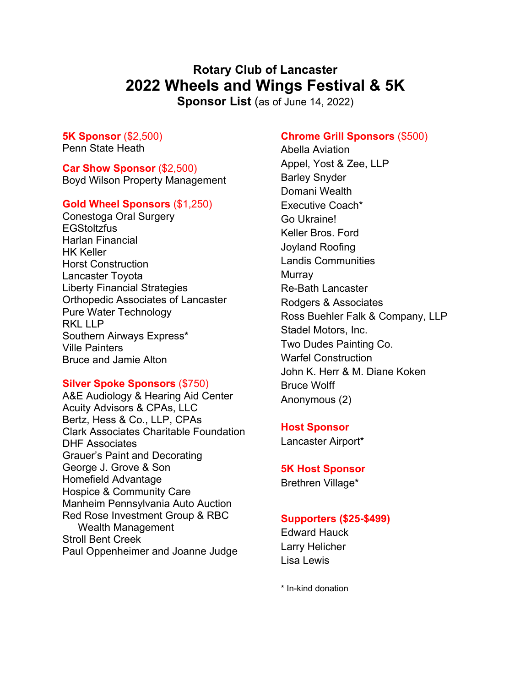# **Rotary Club of Lancaster 2022 Wheels and Wings Festival & 5K**

**Sponsor List** (as of June 14, 2022)

**5K Sponsor** (\$2,500) Penn State Heath

**Car Show Sponsor** (\$2,500) Boyd Wilson Property Management

## **Gold Wheel Sponsors** (\$1,250)

Conestoga Oral Surgery **EGStoltzfus** Harlan Financial HK Keller Horst Construction Lancaster Toyota Liberty Financial Strategies Orthopedic Associates of Lancaster Pure Water Technology RKL LLP Southern Airways Express\* Ville Painters Bruce and Jamie Alton

## **Silver Spoke Sponsors** (\$750)

A&E Audiology & Hearing Aid Center Acuity Advisors & CPAs, LLC Bertz, Hess & Co., LLP, CPAs Clark Associates Charitable Foundation DHF Associates Grauer's Paint and Decorating George J. Grove & Son Homefield Advantage Hospice & Community Care Manheim Pennsylvania Auto Auction Red Rose Investment Group & RBC Wealth Management Stroll Bent Creek Paul Oppenheimer and Joanne Judge

## **Chrome Grill Sponsors** (\$500)

Abella Aviation Appel, Yost & Zee, LLP Barley Snyder Domani Wealth Executive Coach\* Go Ukraine! Keller Bros. Ford Joyland Roofing Landis Communities **Murray** Re-Bath Lancaster Rodgers & Associates Ross Buehler Falk & Company, LLP Stadel Motors, Inc. Two Dudes Painting Co. Warfel Construction John K. Herr & M. Diane Koken Bruce Wolff Anonymous (2)

#### **Host Sponsor**

Lancaster Airport\*

#### **5K Host Sponsor**

Brethren Village\*

## **Supporters (\$25-\$499)**

Edward Hauck Larry Helicher Lisa Lewis

\* In-kind donation